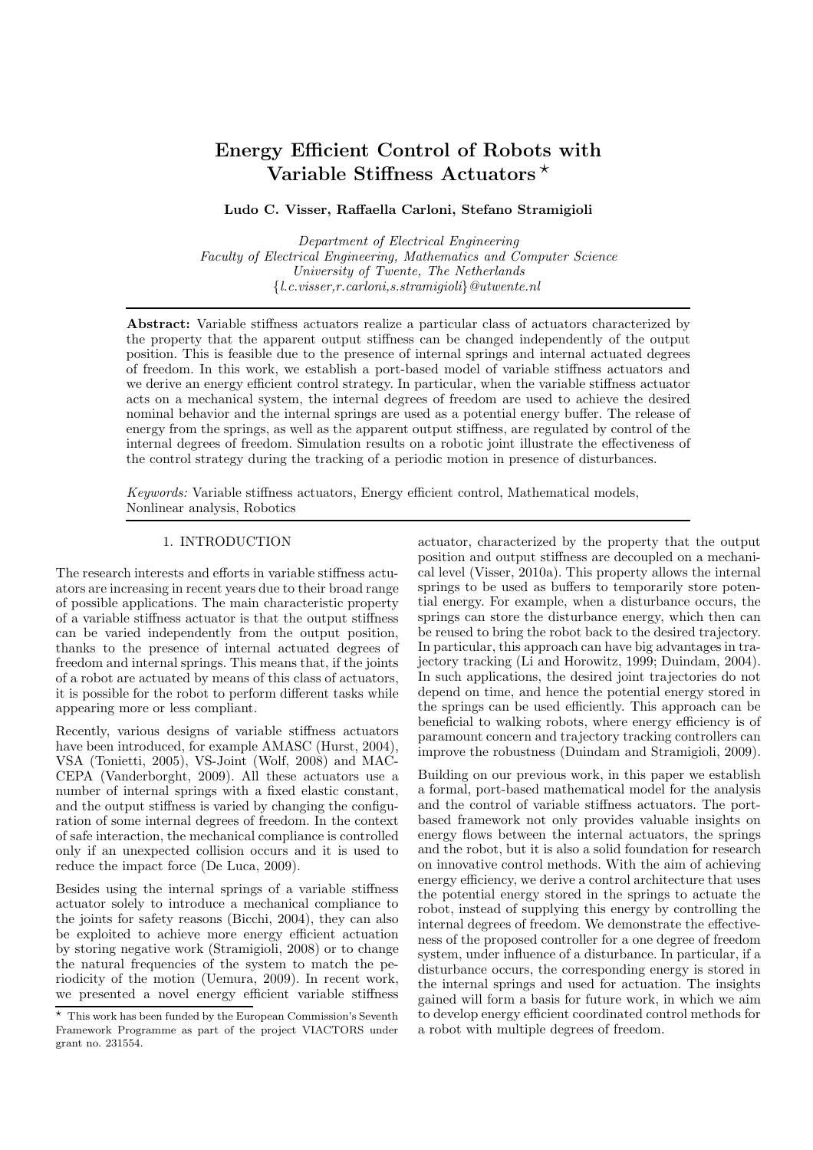# Energy Efficient Control of Robots with Variable Stiffness Actuators  $\star$

# Ludo C. Visser, Raffaella Carloni, Stefano Stramigioli

*Department of Electrical Engineering Faculty of Electrical Engineering, Mathematics and Computer Science University of Twente, The Netherlands* {*l.c.visser,r.carloni,s.stramigioli*}*@utwente.nl*

Abstract: Variable stiffness actuators realize a particular class of actuators characterized by the property that the apparent output stiffness can be changed independently of the output position. This is feasible due to the presence of internal springs and internal actuated degrees of freedom. In this work, we establish a port-based model of variable stiffness actuators and we derive an energy efficient control strategy. In particular, when the variable stiffness actuator acts on a mechanical system, the internal degrees of freedom are used to achieve the desired nominal behavior and the internal springs are used as a potential energy buffer. The release of energy from the springs, as well as the apparent output stiffness, are regulated by control of the internal degrees of freedom. Simulation results on a robotic joint illustrate the effectiveness of the control strategy during the tracking of a periodic motion in presence of disturbances.

*Keywords:* Variable stiffness actuators, Energy efficient control, Mathematical models, Nonlinear analysis, Robotics

# 1. INTRODUCTION

The research interests and efforts in variable stiffness actuators are increasing in recent years due to their broad range of possible applications. The main characteristic property of a variable stiffness actuator is that the output stiffness can be varied independently from the output position, thanks to the presence of internal actuated degrees of freedom and internal springs. This means that, if the joints of a robot are actuated by means of this class of actuators, it is possible for the robot to perform different tasks while appearing more or less compliant.

Recently, various designs of variable stiffness actuators have been introduced, for example AMASC (Hurst, 2004), VSA (Tonietti, 2005), VS-Joint (Wolf, 2008) and MAC-CEPA (Vanderborght, 2009). All these actuators use a number of internal springs with a fixed elastic constant, and the output stiffness is varied by changing the configuration of some internal degrees of freedom. In the context of safe interaction, the mechanical compliance is controlled only if an unexpected collision occurs and it is used to reduce the impact force (De Luca, 2009).

Besides using the internal springs of a variable stiffness actuator solely to introduce a mechanical compliance to the joints for safety reasons (Bicchi, 2004), they can also be exploited to achieve more energy efficient actuation by storing negative work (Stramigioli, 2008) or to change the natural frequencies of the system to match the periodicity of the motion (Uemura, 2009). In recent work, we presented a novel energy efficient variable stiffness actuator, characterized by the property that the output position and output stiffness are decoupled on a mechanical level (Visser, 2010a). This property allows the internal springs to be used as buffers to temporarily store potential energy. For example, when a disturbance occurs, the springs can store the disturbance energy, which then can be reused to bring the robot back to the desired trajectory. In particular, this approach can have big advantages in trajectory tracking (Li and Horowitz, 1999; Duindam, 2004). In such applications, the desired joint trajectories do not depend on time, and hence the potential energy stored in the springs can be used efficiently. This approach can be beneficial to walking robots, where energy efficiency is of paramount concern and trajectory tracking controllers can improve the robustness (Duindam and Stramigioli, 2009).

Building on our previous work, in this paper we establish a formal, port-based mathematical model for the analysis and the control of variable stiffness actuators. The portbased framework not only provides valuable insights on energy flows between the internal actuators, the springs and the robot, but it is also a solid foundation for research on innovative control methods. With the aim of achieving energy efficiency, we derive a control architecture that uses the potential energy stored in the springs to actuate the robot, instead of supplying this energy by controlling the internal degrees of freedom. We demonstrate the effectiveness of the proposed controller for a one degree of freedom system, under influence of a disturbance. In particular, if a disturbance occurs, the corresponding energy is stored in the internal springs and used for actuation. The insights gained will form a basis for future work, in which we aim to develop energy efficient coordinated control methods for a robot with multiple degrees of freedom.

 $\star$  This work has been funded by the European Commission's Seventh Framework Programme as part of the project VIACTORS under grant no. 231554.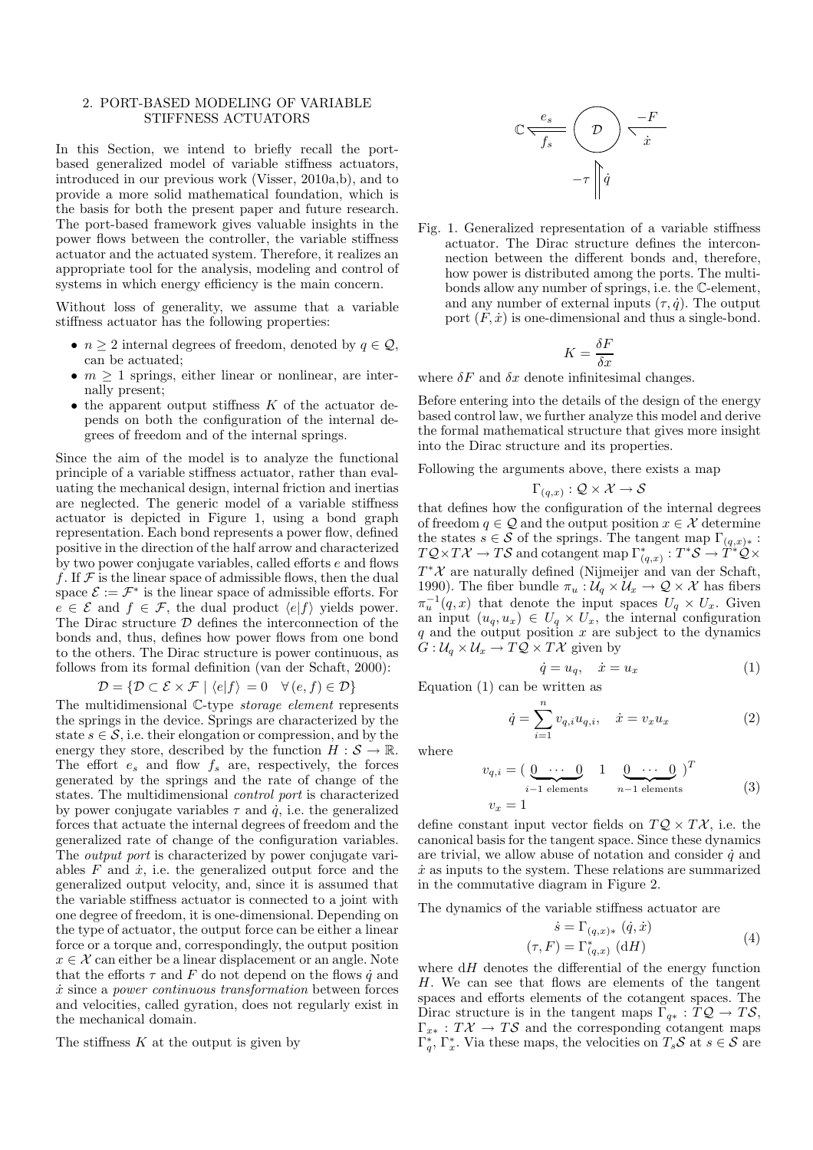### 2. PORT-BASED MODELING OF VARIABLE STIFFNESS ACTUATORS

In this Section, we intend to briefly recall the portbased generalized model of variable stiffness actuators, introduced in our previous work (Visser, 2010a,b), and to provide a more solid mathematical foundation, which is the basis for both the present paper and future research. The port-based framework gives valuable insights in the power flows between the controller, the variable stiffness actuator and the actuated system. Therefore, it realizes an appropriate tool for the analysis, modeling and control of systems in which energy efficiency is the main concern.

Without loss of generality, we assume that a variable stiffness actuator has the following properties:

- $n \geq 2$  internal degrees of freedom, denoted by  $q \in \mathcal{Q}$ , can be actuated;
- $m \geq 1$  springs, either linear or nonlinear, are internally present;
- $\bullet$  the apparent output stiffness  $K$  of the actuator depends on both the configuration of the internal degrees of freedom and of the internal springs.

Since the aim of the model is to analyze the functional principle of a variable stiffness actuator, rather than evaluating the mechanical design, internal friction and inertias are neglected. The generic model of a variable stiffness actuator is depicted in Figure 1, using a bond graph representation. Each bond represents a power flow, defined positive in the direction of the half arrow and characterized by two power conjugate variables, called efforts e and flows f. If  $\mathcal F$  is the linear space of admissible flows, then the dual space  $\mathcal{E} := \mathcal{F}^*$  is the linear space of admissible efforts. For  $e \in \mathcal{E}$  and  $f \in \mathcal{F}$ , the dual product  $\langle e|f \rangle$  yields power. The Dirac structure  $D$  defines the interconnection of the bonds and, thus, defines how power flows from one bond to the others. The Dirac structure is power continuous, as follows from its formal definition (van der Schaft, 2000):

$$
\mathcal{D} = \{ \mathcal{D} \subset \mathcal{E} \times \mathcal{F} \mid \langle e|f \rangle = 0 \quad \forall (e, f) \in \mathcal{D} \}
$$

The multidimensional C-type *storage element* represents the springs in the device. Springs are characterized by the state  $s \in \mathcal{S}$ , i.e. their elongation or compression, and by the energy they store, described by the function  $H : \mathcal{S} \to \mathbb{R}$ . The effort  $e_s$  and flow  $f_s$  are, respectively, the forces generated by the springs and the rate of change of the states. The multidimensional *control port* is characterized by power conjugate variables  $\tau$  and  $\dot{q}$ , i.e. the generalized forces that actuate the internal degrees of freedom and the generalized rate of change of the configuration variables. The *output port* is characterized by power conjugate variables  $F$  and  $\dot{x}$ , i.e. the generalized output force and the generalized output velocity, and, since it is assumed that the variable stiffness actuator is connected to a joint with one degree of freedom, it is one-dimensional. Depending on the type of actuator, the output force can be either a linear force or a torque and, correspondingly, the output position  $x \in \mathcal{X}$  can either be a linear displacement or an angle. Note that the efforts  $\tau$  and F do not depend on the flows  $\dot{q}$  and x˙ since a *power continuous transformation* between forces and velocities, called gyration, does not regularly exist in the mechanical domain.

The stiffness  $K$  at the output is given by

$$
\mathbb{C} \frac{e_s}{f_s} \left( \mathcal{D} \right) \frac{-F}{\dot{x}}
$$

$$
-\tau \left\| \dot{q} \right\|
$$

Fig. 1. Generalized representation of a variable stiffness actuator. The Dirac structure defines the interconnection between the different bonds and, therefore, how power is distributed among the ports. The multibonds allow any number of springs, i.e. the C-element, and any number of external inputs  $(\tau, \dot{q})$ . The output port  $(F, \dot{x})$  is one-dimensional and thus a single-bond.

$$
K = \frac{\delta F}{\delta x}
$$

where  $\delta F$  and  $\delta x$  denote infinitesimal changes.

Before entering into the details of the design of the energy based control law, we further analyze this model and derive the formal mathematical structure that gives more insight into the Dirac structure and its properties.

Following the arguments above, there exists a map

$$
\Gamma_{(q,x)}:\mathcal{Q}\times\mathcal{X}\to\mathcal{S}
$$

that defines how the configuration of the internal degrees of freedom  $q \in \mathcal{Q}$  and the output position  $x \in \mathcal{X}$  determine the states  $s \in \mathcal{S}$  of the springs. The tangent map  $\Gamma_{(q,x)*}$ :  $TQ \times T\mathcal{X} \to T\mathcal{S}$  and cotangent map  $\Gamma_{(q,x)}^* : T^*S \to T^*\mathcal{Q} \times T^*S$  $T^*\mathcal{X}$  are naturally defined (Nijmeijer and van der Schaft, 1990). The fiber bundle  $\pi_u : \mathcal{U}_q \times \mathcal{U}_x \to \mathcal{Q} \times \mathcal{X}$  has fibers  $\pi_u^{-1}(q, x)$  that denote the input spaces  $U_q \times U_x$ . Given an input  $(u_q, u_x) \in U_q \times U_x$ , the internal configuration  $q$  and the output position  $x$  are subject to the dynamics  $G: U_q \times U_x \rightarrow TQ \times T\mathcal{X}$  given by

$$
\dot{q} = u_q, \quad \dot{x} = u_x \tag{1}
$$

Equation (1) can be written as

$$
\dot{q} = \sum_{i=1}^{n} v_{q,i} u_{q,i}, \quad \dot{x} = v_x u_x \tag{2}
$$

where

$$
v_{q,i} = \left(\underbrace{0 \cdots 0}_{i-1 \text{ elements}} 1 \underbrace{0 \cdots 0}_{n-1 \text{ elements}}\right)^T
$$
  

$$
v_x = 1
$$
 (3)

define constant input vector fields on  $TQ \times T\mathcal{X}$ , i.e. the canonical basis for the tangent space. Since these dynamics are trivial, we allow abuse of notation and consider  $\dot{q}$  and  $\dot{x}$  as inputs to the system. These relations are summarized in the commutative diagram in Figure 2.

The dynamics of the variable stiffness actuator are

$$
\dot{s} = \Gamma_{(q,x)*} (\dot{q}, \dot{x})
$$

$$
(\tau, F) = \Gamma_{(q,x)}^* (\mathrm{d}H)
$$
(4)

where  $dH$  denotes the differential of the energy function H. We can see that flows are elements of the tangent spaces and efforts elements of the cotangent spaces. The Dirac structure is in the tangent maps  $\Gamma_{q*} : TQ \to TS$ ,  $\Gamma_{x*}: T\mathcal{X} \to T\mathcal{S}$  and the corresponding cotangent maps  $\Gamma_q^*, \Gamma_x^*.$  Via these maps, the velocities on  $T_sS$  at  $s \in S$  are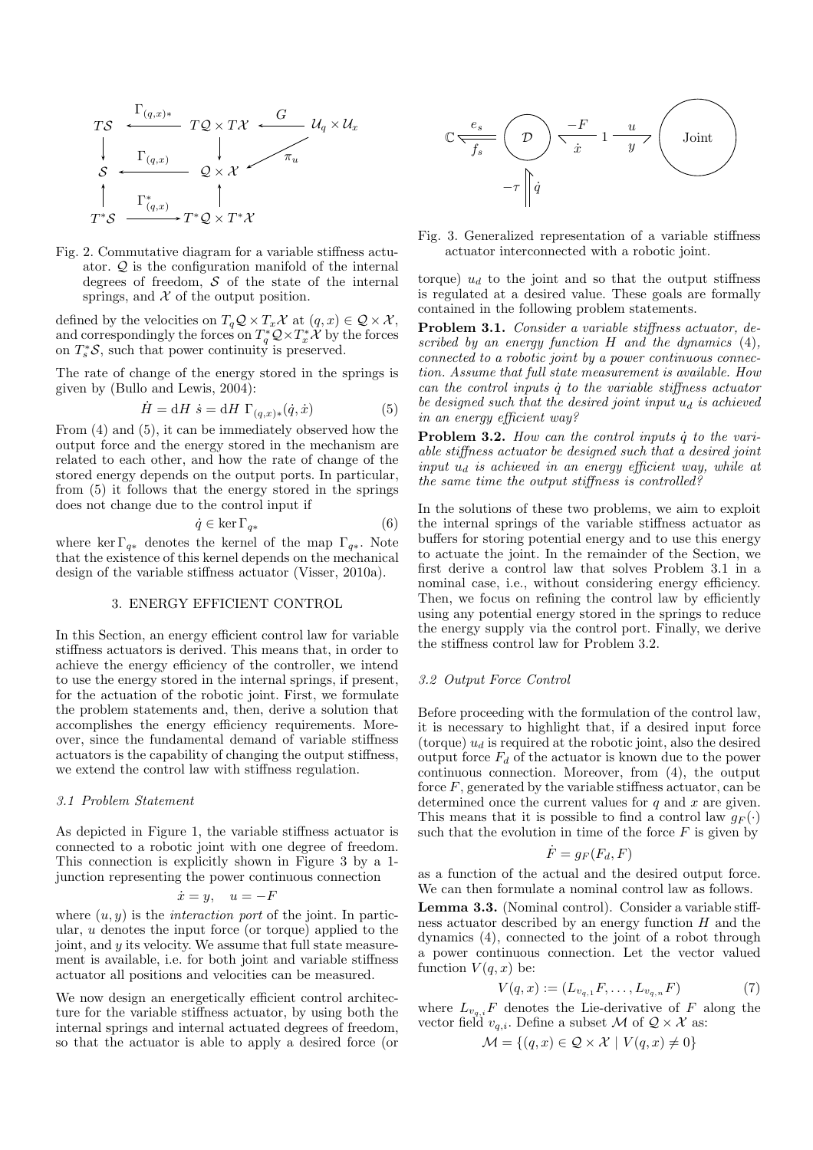

Fig. 2. Commutative diagram for a variable stiffness actuator. Q is the configuration manifold of the internal degrees of freedom,  $S$  of the state of the internal springs, and  $\mathcal X$  of the output position.

defined by the velocities on  $T_q \mathcal{Q} \times T_x \mathcal{X}$  at  $(q, x) \in \mathcal{Q} \times \mathcal{X}$ , and correspondingly the forces on  $T_q^*Q \times T_x^*X$  by the forces on  $T_s^*S$ , such that power continuity is preserved.

The rate of change of the energy stored in the springs is given by (Bullo and Lewis, 2004):

$$
\dot{H} = dH \ \dot{s} = dH \ \Gamma_{(q,x)*}(\dot{q}, \dot{x}) \tag{5}
$$

From (4) and (5), it can be immediately observed how the output force and the energy stored in the mechanism are related to each other, and how the rate of change of the stored energy depends on the output ports. In particular, from (5) it follows that the energy stored in the springs does not change due to the control input if

$$
\dot{q} \in \ker \Gamma_{q*} \tag{6}
$$

where ker  $\Gamma_{q*}$  denotes the kernel of the map  $\Gamma_{q*}$ . Note that the existence of this kernel depends on the mechanical design of the variable stiffness actuator (Visser, 2010a).

# 3. ENERGY EFFICIENT CONTROL

In this Section, an energy efficient control law for variable stiffness actuators is derived. This means that, in order to achieve the energy efficiency of the controller, we intend to use the energy stored in the internal springs, if present, for the actuation of the robotic joint. First, we formulate the problem statements and, then, derive a solution that accomplishes the energy efficiency requirements. Moreover, since the fundamental demand of variable stiffness actuators is the capability of changing the output stiffness, we extend the control law with stiffness regulation.

#### *3.1 Problem Statement*

As depicted in Figure 1, the variable stiffness actuator is connected to a robotic joint with one degree of freedom. This connection is explicitly shown in Figure 3 by a 1 junction representing the power continuous connection

$$
\dot{x} = y, \quad u = -F
$$

where  $(u, y)$  is the *interaction port* of the joint. In particular, u denotes the input force (or torque) applied to the joint, and y its velocity. We assume that full state measurement is available, i.e. for both joint and variable stiffness actuator all positions and velocities can be measured.

We now design an energetically efficient control architecture for the variable stiffness actuator, by using both the internal springs and internal actuated degrees of freedom, so that the actuator is able to apply a desired force (or



Fig. 3. Generalized representation of a variable stiffness actuator interconnected with a robotic joint.

torque)  $u_d$  to the joint and so that the output stiffness is regulated at a desired value. These goals are formally contained in the following problem statements.

Problem 3.1. *Consider a variable stiffness actuator, described by an energy function* H *and the dynamics* (4)*, connected to a robotic joint by a power continuous connection. Assume that full state measurement is available. How can the control inputs* q˙ *to the variable stiffness actuator be designed such that the desired joint input*  $u_d$  *is achieved in an energy efficient way?*

Problem 3.2. *How can the control inputs*  $\dot{q}$  to the vari*able stiffness actuator be designed such that a desired joint input*  $u_d$  *is achieved in an energy efficient way, while at the same time the output stiffness is controlled?*

In the solutions of these two problems, we aim to exploit the internal springs of the variable stiffness actuator as buffers for storing potential energy and to use this energy to actuate the joint. In the remainder of the Section, we first derive a control law that solves Problem 3.1 in a nominal case, i.e., without considering energy efficiency. Then, we focus on refining the control law by efficiently using any potential energy stored in the springs to reduce the energy supply via the control port. Finally, we derive the stiffness control law for Problem 3.2.

#### *3.2 Output Force Control*

Before proceeding with the formulation of the control law, it is necessary to highlight that, if a desired input force (torque)  $u_d$  is required at the robotic joint, also the desired output force  $F_d$  of the actuator is known due to the power continuous connection. Moreover, from (4), the output force  $F$ , generated by the variable stiffness actuator, can be determined once the current values for  $q$  and  $x$  are given. This means that it is possible to find a control law  $g_F(\cdot)$ such that the evolution in time of the force  $F$  is given by

$$
\dot{F} = g_F(F_d, F)
$$

as a function of the actual and the desired output force. We can then formulate a nominal control law as follows.

Lemma 3.3. (Nominal control). Consider a variable stiffness actuator described by an energy function  $H$  and the dynamics (4), connected to the joint of a robot through a power continuous connection. Let the vector valued function  $V(q, x)$  be:

$$
V(q, x) := (L_{v_{q,1}}F, \dots, L_{v_{q,n}}F) \tag{7}
$$

where  $L_{v_q,i}F$  denotes the Lie-derivative of F along the vector field  $v_{q,i}$ . Define a subset M of  $Q \times \mathcal{X}$  as:

$$
\mathcal{M} = \{(q, x) \in \mathcal{Q} \times \mathcal{X} \mid V(q, x) \neq 0\}
$$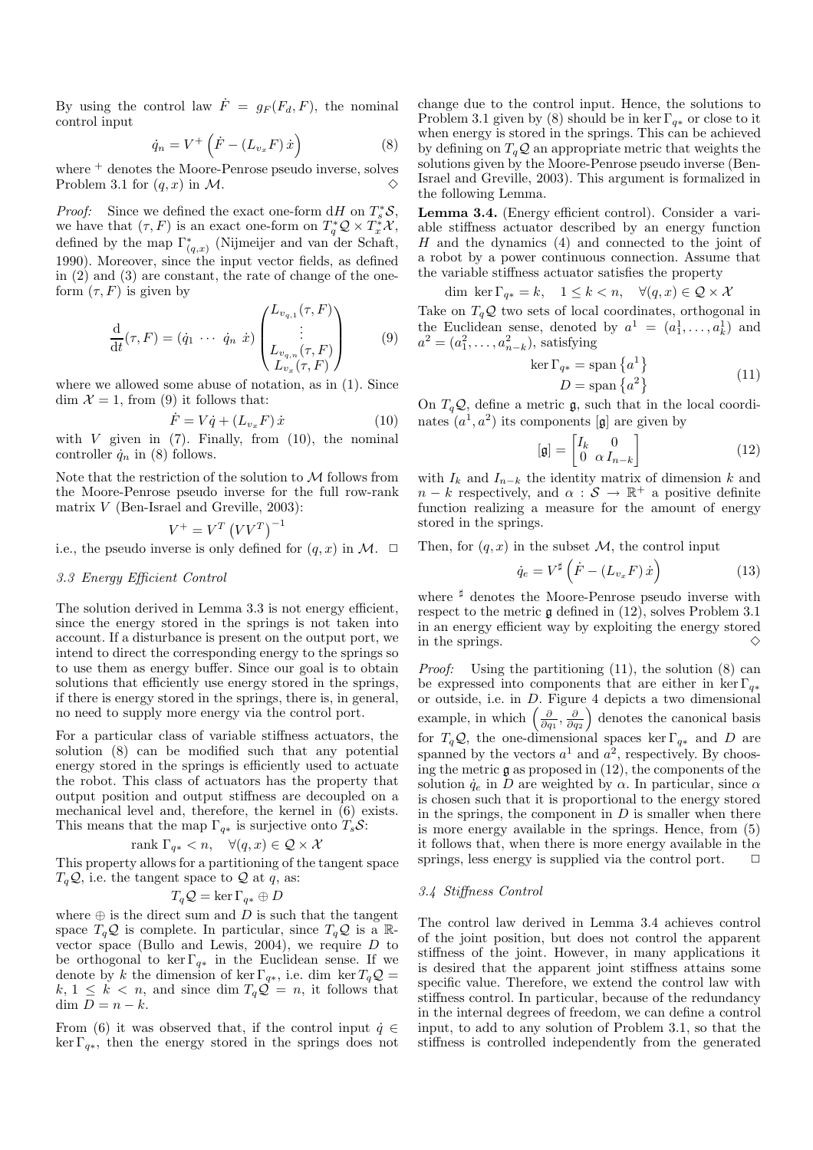By using the control law  $\dot{F} = g_F(F_d, F)$ , the nominal control input

$$
\dot{q}_n = V^+ \left( \dot{F} - \left( L_{v_x} F \right) \dot{x} \right) \tag{8}
$$

where <sup>+</sup> denotes the Moore-Penrose pseudo inverse, solves Problem 3.1 for  $(q, x)$  in M.

*Proof:* Since we defined the exact one-form  $dH$  on  $T_s^*S$ , we have that  $(\tau, F)$  is an exact one-form on  $T_q^* \mathcal{Q} \times T_x^* \mathcal{X}$ , defined by the map  $\Gamma_{(q,x)}^*$  (Nijmeijer and van der Schaft, 1990). Moreover, since the input vector fields, as defined in (2) and (3) are constant, the rate of change of the oneform  $(\tau, F)$  is given by

$$
\frac{\mathrm{d}}{\mathrm{d}t}(\tau,F) = (\dot{q}_1 \cdots \dot{q}_n \dot{x}) \begin{pmatrix} L_{v_{q,1}}(\tau,F) \\ \vdots \\ L_{v_{q,n}}(\tau,F) \\ L_{v_x}(\tau,F) \end{pmatrix}
$$
(9)

where we allowed some abuse of notation, as in (1). Since dim  $\mathcal{X} = 1$ , from (9) it follows that:

$$
\dot{F} = V\dot{q} + (L_{v_x}F)\dot{x} \tag{10}
$$

with  $V$  given in  $(7)$ . Finally, from  $(10)$ , the nominal controller  $\dot{q}_n$  in (8) follows.

Note that the restriction of the solution to  $\mathcal M$  follows from the Moore-Penrose pseudo inverse for the full row-rank matrix V (Ben-Israel and Greville, 2003):

$$
V^+ = V^T \left( V V^T \right)^{-1}
$$

i.e., the pseudo inverse is only defined for  $(q, x)$  in  $\mathcal{M}$ .  $\Box$ 

# *3.3 Energy Efficient Control*

The solution derived in Lemma 3.3 is not energy efficient, since the energy stored in the springs is not taken into account. If a disturbance is present on the output port, we intend to direct the corresponding energy to the springs so to use them as energy buffer. Since our goal is to obtain solutions that efficiently use energy stored in the springs, if there is energy stored in the springs, there is, in general, no need to supply more energy via the control port.

For a particular class of variable stiffness actuators, the solution (8) can be modified such that any potential energy stored in the springs is efficiently used to actuate the robot. This class of actuators has the property that output position and output stiffness are decoupled on a mechanical level and, therefore, the kernel in (6) exists. This means that the map  $\Gamma_{q*}$  is surjective onto  $T_s \mathcal{S}$ :

$$
rank \Gamma_{q*} < n, \quad \forall (q, x) \in \mathcal{Q} \times \mathcal{X}
$$

This property allows for a partitioning of the tangent space  $T_q\mathcal{Q}$ , i.e. the tangent space to  $\mathcal Q$  at  $q$ , as:

$$
T_q\mathcal{Q} = \ker \Gamma_{q*} \oplus D
$$

where  $\oplus$  is the direct sum and D is such that the tangent space  $T_qQ$  is complete. In particular, since  $T_qQ$  is a Rvector space (Bullo and Lewis, 2004), we require  $D$  to be orthogonal to ker  $\Gamma_{q*}$  in the Euclidean sense. If we denote by k the dimension of ker  $\Gamma_{q*}$ , i.e. dim ker  $T_q\mathcal{Q} =$  $k, 1 \leq k < n$ , and since dim  $T_q \mathcal{Q} = n$ , it follows that dim  $D = n - k$ .

From (6) it was observed that, if the control input  $\dot{q} \in$  $\ker \Gamma_{q*}$ , then the energy stored in the springs does not change due to the control input. Hence, the solutions to Problem 3.1 given by (8) should be in ker  $\Gamma_{q*}$  or close to it when energy is stored in the springs. This can be achieved by defining on  $T_a\mathcal{Q}$  an appropriate metric that weights the solutions given by the Moore-Penrose pseudo inverse (Ben-Israel and Greville, 2003). This argument is formalized in the following Lemma.

Lemma 3.4. (Energy efficient control). Consider a variable stiffness actuator described by an energy function  $H$  and the dynamics  $(4)$  and connected to the joint of a robot by a power continuous connection. Assume that the variable stiffness actuator satisfies the property

dim ker  $\Gamma_{q*} = k$ ,  $1 \leq k < n$ ,  $\forall (q, x) \in \mathcal{Q} \times \mathcal{X}$ 

Take on  $T_qQ$  two sets of local coordinates, orthogonal in the Euclidean sense, denoted by  $a^1 = (a_1^1, \ldots, a_k^1)$  and  $a^2 = (a_1^2, \ldots, a_{n-k}^2)$ , satisfying

$$
\ker \Gamma_{q*} = \operatorname{span} \{a^1\}
$$
  

$$
D = \operatorname{span} \{a^2\}
$$
 (11)

On  $T_q\mathcal{Q}$ , define a metric g, such that in the local coordinates  $(a^1, a^2)$  its components [g] are given by

$$
\left[\mathfrak{g}\right] = \begin{bmatrix} I_k & 0\\ 0 & \alpha I_{n-k} \end{bmatrix} \tag{12}
$$

with  $I_k$  and  $I_{n-k}$  the identity matrix of dimension k and  $n - k$  respectively, and  $\alpha : \mathcal{S} \to \mathbb{R}^+$  a positive definite function realizing a measure for the amount of energy stored in the springs.

Then, for  $(q, x)$  in the subset M, the control input

$$
\dot{q}_e = V^{\sharp} \left( \dot{F} - \left( L_{v_x} F \right) \dot{x} \right) \tag{13}
$$

where <sup>‡</sup> denotes the Moore-Penrose pseudo inverse with respect to the metric g defined in (12), solves Problem 3.1 in an energy efficient way by exploiting the energy stored in the springs.

*Proof:* Using the partitioning (11), the solution (8) can be expressed into components that are either in ker  $\Gamma_{q*}$ or outside, i.e. in D. Figure 4 depicts a two dimensional example, in which  $\left(\frac{\partial}{\partial q_1}, \frac{\partial}{\partial q_2}\right)$  denotes the canonical basis for  $T_q\mathcal{Q}$ , the one-dimensional spaces ker  $\Gamma_{q*}$  and D are spanned by the vectors  $a^1$  and  $a^2$ , respectively. By choosing the metric  $\mathfrak g$  as proposed in  $(12)$ , the components of the solution  $\dot{q}_e$  in D are weighted by  $\alpha$ . In particular, since  $\alpha$ is chosen such that it is proportional to the energy stored in the springs, the component in  $D$  is smaller when there is more energy available in the springs. Hence, from (5) it follows that, when there is more energy available in the springs, less energy is supplied via the control port.  $\Box$ 

#### *3.4 Stiffness Control*

The control law derived in Lemma 3.4 achieves control of the joint position, but does not control the apparent stiffness of the joint. However, in many applications it is desired that the apparent joint stiffness attains some specific value. Therefore, we extend the control law with stiffness control. In particular, because of the redundancy in the internal degrees of freedom, we can define a control input, to add to any solution of Problem 3.1, so that the stiffness is controlled independently from the generated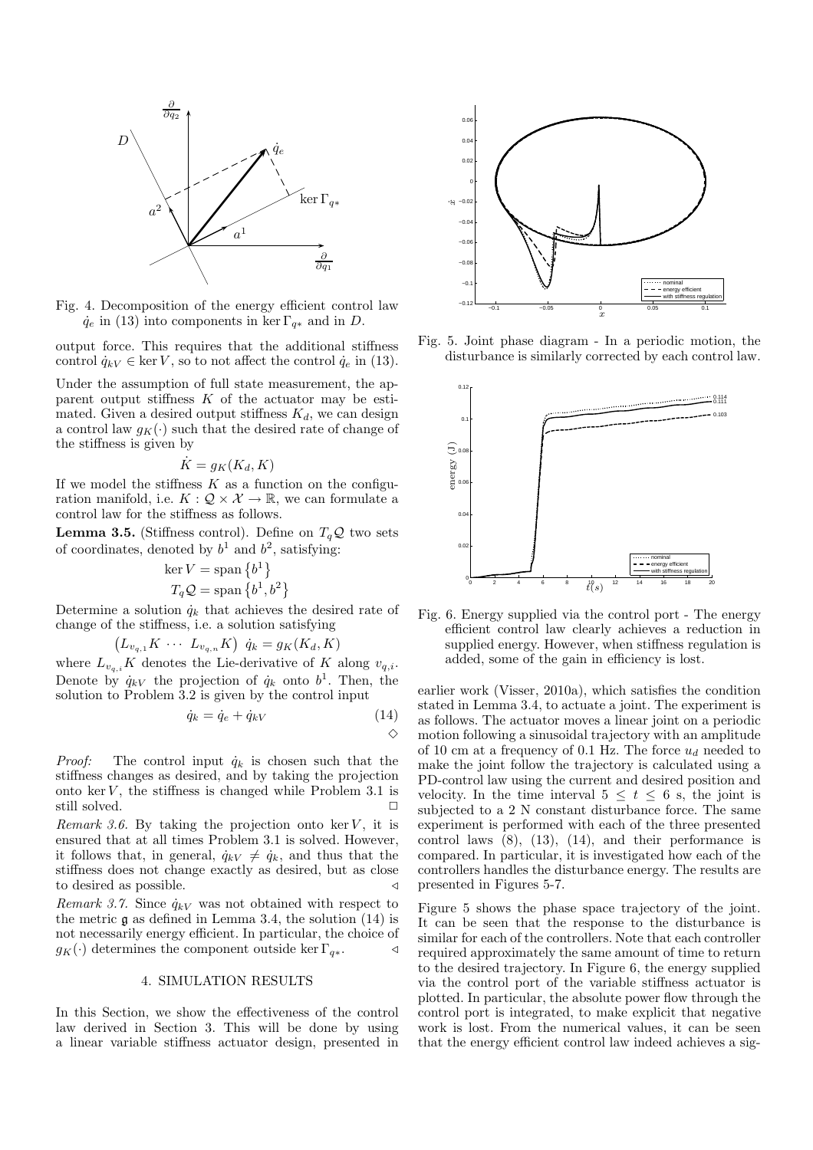

Fig. 4. Decomposition of the energy efficient control law  $\dot{q}_e$  in (13) into components in ker  $\Gamma_{q*}$  and in D.

output force. This requires that the additional stiffness control  $\dot{q}_{kV} \in \text{ker } V$ , so to not affect the control  $\dot{q}_e$  in (13).

Under the assumption of full state measurement, the apparent output stiffness  $K$  of the actuator may be estimated. Given a desired output stiffness  $K_d$ , we can design a control law  $g_K(\cdot)$  such that the desired rate of change of the stiffness is given by

$$
\dot{K} = g_K(K_d, K)
$$

If we model the stiffness  $K$  as a function on the configuration manifold, i.e.  $K: \mathcal{Q} \times \mathcal{X} \to \mathbb{R}$ , we can formulate a control law for the stiffness as follows.

**Lemma 3.5.** (Stiffness control). Define on  $T_qQ$  two sets of coordinates, denoted by  $b^1$  and  $b^2$ , satisfying:

$$
\ker V = \text{span}\left\{b^1\right\}
$$

$$
T_q \mathcal{Q} = \text{span}\left\{b^1, b^2\right\}
$$

Determine a solution  $\dot{q}_k$  that achieves the desired rate of change of the stiffness, i.e. a solution satisfying

$$
(L_{v_{q,1}}K \cdots L_{v_{q,n}}K) \dot{q}_k = g_K(K_d, K)
$$

where  $L_{v_{q,i}}K$  denotes the Lie-derivative of K along  $v_{q,i}$ . Denote by  $\dot{q}_{kV}$  the projection of  $\dot{q}_k$  onto  $b^1$ . Then, the solution to Problem 3.2 is given by the control input

$$
\dot{q}_k = \dot{q}_e + \dot{q}_{kV} \tag{14}
$$

*Proof:* The control input  $\dot{q}_k$  is chosen such that the stiffness changes as desired, and by taking the projection onto  $\ker V$ , the stiffness is changed while Problem 3.1 is still solved.

*Remark 3.6.* By taking the projection onto ker  $V$ , it is ensured that at all times Problem 3.1 is solved. However, it follows that, in general,  $\dot{q}_{kV} \neq \dot{q}_k$ , and thus that the stiffness does not change exactly as desired, but as close to desired as possible. 
△

*Remark 3.7.* Since  $\dot{q}_{kV}$  was not obtained with respect to the metric g as defined in Lemma 3.4, the solution (14) is not necessarily energy efficient. In particular, the choice of  $g_K(\cdot)$  determines the component outside ker  $\Gamma_{a*}$ .

# 4. SIMULATION RESULTS

In this Section, we show the effectiveness of the control law derived in Section 3. This will be done by using a linear variable stiffness actuator design, presented in



Fig. 5. Joint phase diagram - In a periodic motion, the disturbance is similarly corrected by each control law.



Fig. 6. Energy supplied via the control port - The energy efficient control law clearly achieves a reduction in supplied energy. However, when stiffness regulation is added, some of the gain in efficiency is lost.

earlier work (Visser, 2010a), which satisfies the condition stated in Lemma 3.4, to actuate a joint. The experiment is as follows. The actuator moves a linear joint on a periodic motion following a sinusoidal trajectory with an amplitude of 10 cm at a frequency of 0.1 Hz. The force  $u_d$  needed to make the joint follow the trajectory is calculated using a PD-control law using the current and desired position and velocity. In the time interval  $5 \leq t \leq 6$  s, the joint is subjected to a 2 N constant disturbance force. The same experiment is performed with each of the three presented control laws  $(8)$ ,  $(13)$ ,  $(14)$ , and their performance is compared. In particular, it is investigated how each of the controllers handles the disturbance energy. The results are presented in Figures 5-7.

Figure 5 shows the phase space trajectory of the joint. It can be seen that the response to the disturbance is similar for each of the controllers. Note that each controller required approximately the same amount of time to return to the desired trajectory. In Figure 6, the energy supplied via the control port of the variable stiffness actuator is plotted. In particular, the absolute power flow through the control port is integrated, to make explicit that negative work is lost. From the numerical values, it can be seen that the energy efficient control law indeed achieves a sig-